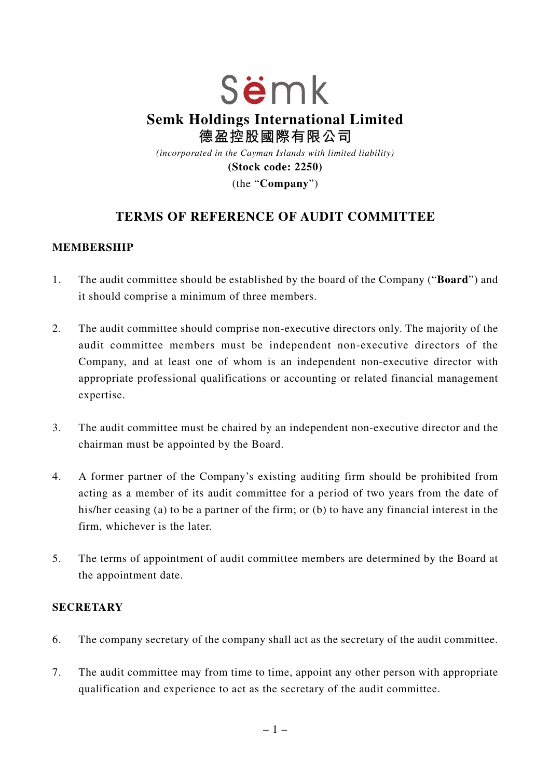# Sëmk **Semk Holdings International Limited 德盈控股國際有限公司** *(incorporated in the Cayman Islands with limited liability)*

**(Stock code: 2250)**

(the "**Company**")

# **TERMS OF REFERENCE OF AUDIT COMMITTEE**

#### **MEMBERSHIP**

- 1. The audit committee should be established by the board of the Company ("**Board**") and it should comprise a minimum of three members.
- 2. The audit committee should comprise non-executive directors only. The majority of the audit committee members must be independent non-executive directors of the Company, and at least one of whom is an independent non-executive director with appropriate professional qualifications or accounting or related financial management expertise.
- 3. The audit committee must be chaired by an independent non-executive director and the chairman must be appointed by the Board.
- 4. A former partner of the Company's existing auditing firm should be prohibited from acting as a member of its audit committee for a period of two years from the date of his/her ceasing (a) to be a partner of the firm; or (b) to have any financial interest in the firm, whichever is the later.
- 5. The terms of appointment of audit committee members are determined by the Board at the appointment date.

#### **SECRETARY**

- 6. The company secretary of the company shall act as the secretary of the audit committee.
- 7. The audit committee may from time to time, appoint any other person with appropriate qualification and experience to act as the secretary of the audit committee.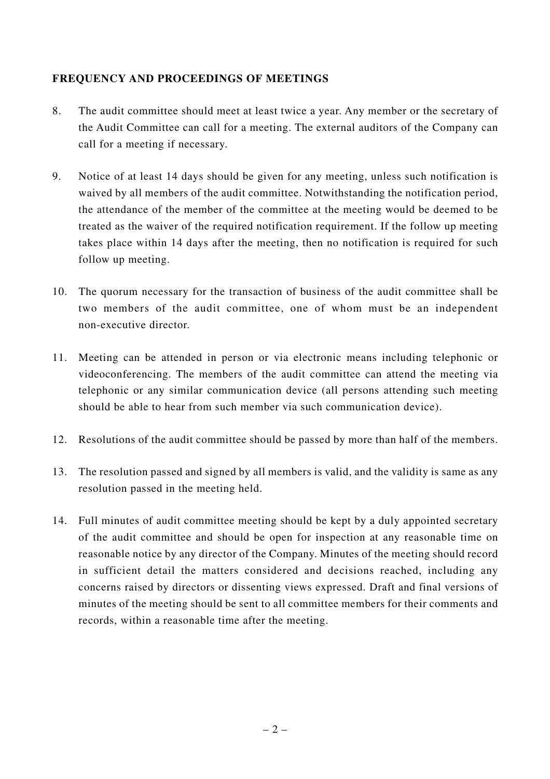### **FREQUENCY AND PROCEEDINGS OF MEETINGS**

- 8. The audit committee should meet at least twice a year. Any member or the secretary of the Audit Committee can call for a meeting. The external auditors of the Company can call for a meeting if necessary.
- 9. Notice of at least 14 days should be given for any meeting, unless such notification is waived by all members of the audit committee. Notwithstanding the notification period, the attendance of the member of the committee at the meeting would be deemed to be treated as the waiver of the required notification requirement. If the follow up meeting takes place within 14 days after the meeting, then no notification is required for such follow up meeting.
- 10. The quorum necessary for the transaction of business of the audit committee shall be two members of the audit committee, one of whom must be an independent non-executive director.
- 11. Meeting can be attended in person or via electronic means including telephonic or videoconferencing. The members of the audit committee can attend the meeting via telephonic or any similar communication device (all persons attending such meeting should be able to hear from such member via such communication device).
- 12. Resolutions of the audit committee should be passed by more than half of the members.
- 13. The resolution passed and signed by all members is valid, and the validity is same as any resolution passed in the meeting held.
- 14. Full minutes of audit committee meeting should be kept by a duly appointed secretary of the audit committee and should be open for inspection at any reasonable time on reasonable notice by any director of the Company. Minutes of the meeting should record in sufficient detail the matters considered and decisions reached, including any concerns raised by directors or dissenting views expressed. Draft and final versions of minutes of the meeting should be sent to all committee members for their comments and records, within a reasonable time after the meeting.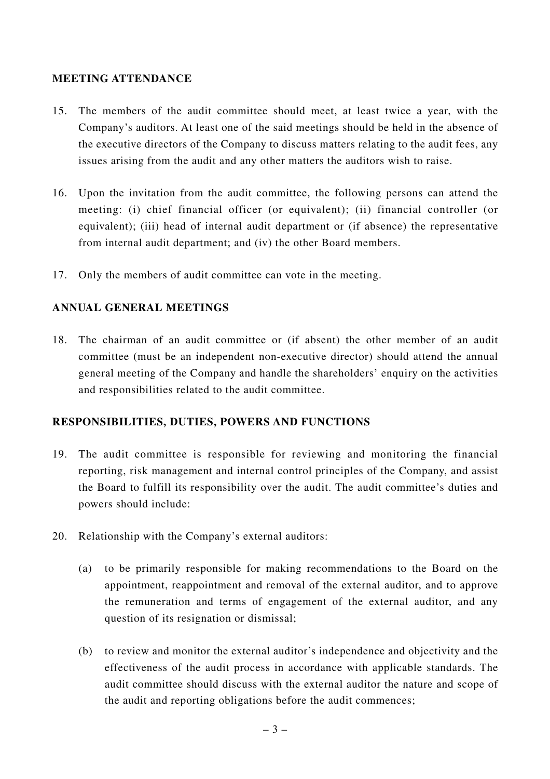#### **MEETING ATTENDANCE**

- 15. The members of the audit committee should meet, at least twice a year, with the Company's auditors. At least one of the said meetings should be held in the absence of the executive directors of the Company to discuss matters relating to the audit fees, any issues arising from the audit and any other matters the auditors wish to raise.
- 16. Upon the invitation from the audit committee, the following persons can attend the meeting: (i) chief financial officer (or equivalent); (ii) financial controller (or equivalent); (iii) head of internal audit department or (if absence) the representative from internal audit department; and (iv) the other Board members.
- 17. Only the members of audit committee can vote in the meeting.

#### **ANNUAL GENERAL MEETINGS**

18. The chairman of an audit committee or (if absent) the other member of an audit committee (must be an independent non-executive director) should attend the annual general meeting of the Company and handle the shareholders' enquiry on the activities and responsibilities related to the audit committee.

#### **RESPONSIBILITIES, DUTIES, POWERS AND FUNCTIONS**

- 19. The audit committee is responsible for reviewing and monitoring the financial reporting, risk management and internal control principles of the Company, and assist the Board to fulfill its responsibility over the audit. The audit committee's duties and powers should include:
- 20. Relationship with the Company's external auditors:
	- (a) to be primarily responsible for making recommendations to the Board on the appointment, reappointment and removal of the external auditor, and to approve the remuneration and terms of engagement of the external auditor, and any question of its resignation or dismissal;
	- (b) to review and monitor the external auditor's independence and objectivity and the effectiveness of the audit process in accordance with applicable standards. The audit committee should discuss with the external auditor the nature and scope of the audit and reporting obligations before the audit commences;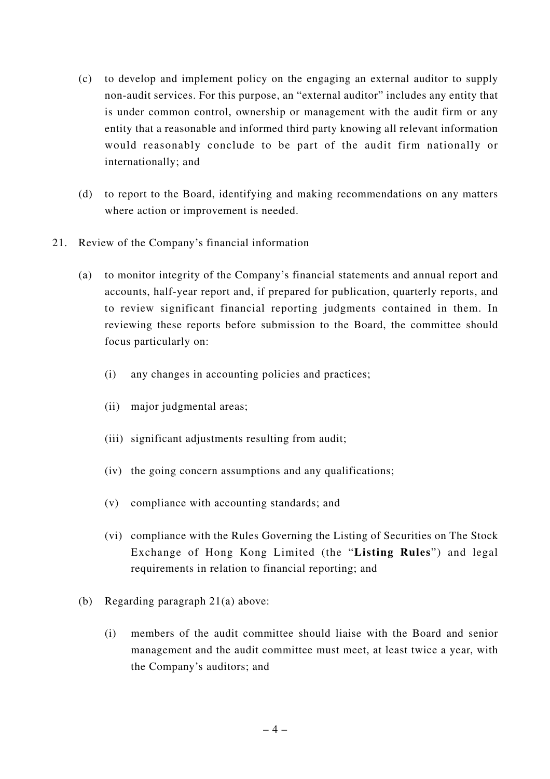- (c) to develop and implement policy on the engaging an external auditor to supply non-audit services. For this purpose, an "external auditor" includes any entity that is under common control, ownership or management with the audit firm or any entity that a reasonable and informed third party knowing all relevant information would reasonably conclude to be part of the audit firm nationally or internationally; and
- (d) to report to the Board, identifying and making recommendations on any matters where action or improvement is needed.
- 21. Review of the Company's financial information
	- (a) to monitor integrity of the Company's financial statements and annual report and accounts, half-year report and, if prepared for publication, quarterly reports, and to review significant financial reporting judgments contained in them. In reviewing these reports before submission to the Board, the committee should focus particularly on:
		- (i) any changes in accounting policies and practices;
		- (ii) major judgmental areas;
		- (iii) significant adjustments resulting from audit;
		- (iv) the going concern assumptions and any qualifications;
		- (v) compliance with accounting standards; and
		- (vi) compliance with the Rules Governing the Listing of Securities on The Stock Exchange of Hong Kong Limited (the "**Listing Rules**") and legal requirements in relation to financial reporting; and
	- (b) Regarding paragraph 21(a) above:
		- (i) members of the audit committee should liaise with the Board and senior management and the audit committee must meet, at least twice a year, with the Company's auditors; and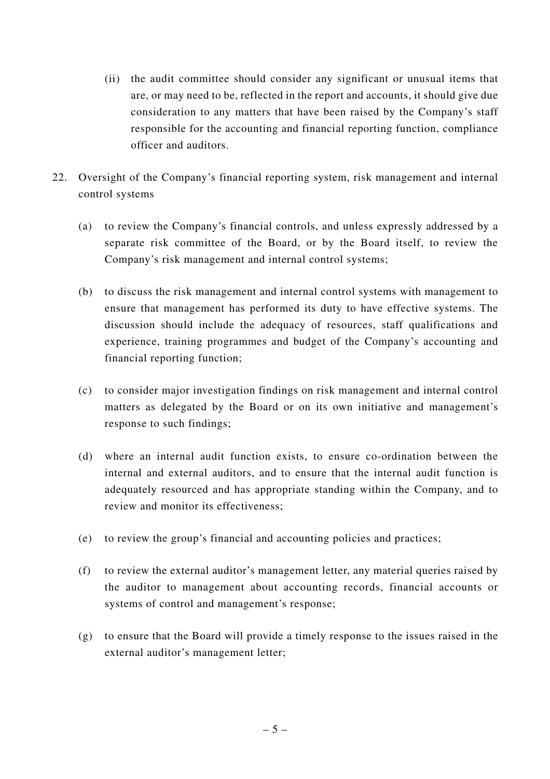- (ii) the audit committee should consider any significant or unusual items that are, or may need to be, reflected in the report and accounts, it should give due consideration to any matters that have been raised by the Company's staff responsible for the accounting and financial reporting function, compliance officer and auditors.
- 22. Oversight of the Company's financial reporting system, risk management and internal control systems
	- (a) to review the Company's financial controls, and unless expressly addressed by a separate risk committee of the Board, or by the Board itself, to review the Company's risk management and internal control systems;
	- (b) to discuss the risk management and internal control systems with management to ensure that management has performed its duty to have effective systems. The discussion should include the adequacy of resources, staff qualifications and experience, training programmes and budget of the Company's accounting and financial reporting function;
	- (c) to consider major investigation findings on risk management and internal control matters as delegated by the Board or on its own initiative and management's response to such findings;
	- (d) where an internal audit function exists, to ensure co-ordination between the internal and external auditors, and to ensure that the internal audit function is adequately resourced and has appropriate standing within the Company, and to review and monitor its effectiveness;
	- (e) to review the group's financial and accounting policies and practices;
	- (f) to review the external auditor's management letter, any material queries raised by the auditor to management about accounting records, financial accounts or systems of control and management's response;
	- (g) to ensure that the Board will provide a timely response to the issues raised in the external auditor's management letter;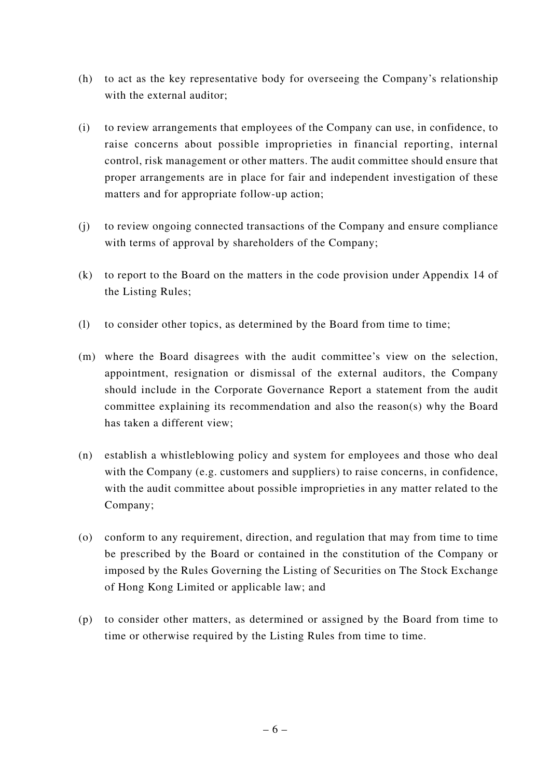- (h) to act as the key representative body for overseeing the Company's relationship with the external auditor;
- (i) to review arrangements that employees of the Company can use, in confidence, to raise concerns about possible improprieties in financial reporting, internal control, risk management or other matters. The audit committee should ensure that proper arrangements are in place for fair and independent investigation of these matters and for appropriate follow-up action;
- (j) to review ongoing connected transactions of the Company and ensure compliance with terms of approval by shareholders of the Company;
- (k) to report to the Board on the matters in the code provision under Appendix 14 of the Listing Rules;
- (l) to consider other topics, as determined by the Board from time to time;
- (m) where the Board disagrees with the audit committee's view on the selection, appointment, resignation or dismissal of the external auditors, the Company should include in the Corporate Governance Report a statement from the audit committee explaining its recommendation and also the reason(s) why the Board has taken a different view;
- (n) establish a whistleblowing policy and system for employees and those who deal with the Company (e.g. customers and suppliers) to raise concerns, in confidence, with the audit committee about possible improprieties in any matter related to the Company;
- (o) conform to any requirement, direction, and regulation that may from time to time be prescribed by the Board or contained in the constitution of the Company or imposed by the Rules Governing the Listing of Securities on The Stock Exchange of Hong Kong Limited or applicable law; and
- (p) to consider other matters, as determined or assigned by the Board from time to time or otherwise required by the Listing Rules from time to time.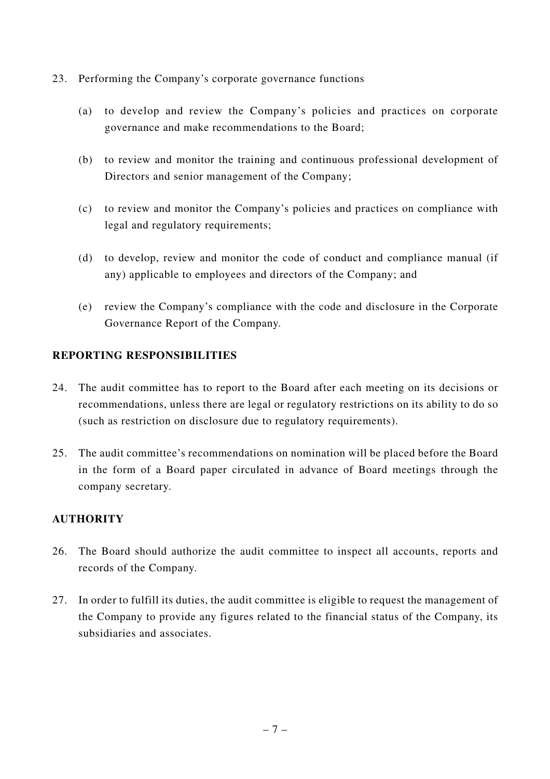- 23. Performing the Company's corporate governance functions
	- (a) to develop and review the Company's policies and practices on corporate governance and make recommendations to the Board;
	- (b) to review and monitor the training and continuous professional development of Directors and senior management of the Company;
	- (c) to review and monitor the Company's policies and practices on compliance with legal and regulatory requirements;
	- (d) to develop, review and monitor the code of conduct and compliance manual (if any) applicable to employees and directors of the Company; and
	- (e) review the Company's compliance with the code and disclosure in the Corporate Governance Report of the Company.

## **REPORTING RESPONSIBILITIES**

- 24. The audit committee has to report to the Board after each meeting on its decisions or recommendations, unless there are legal or regulatory restrictions on its ability to do so (such as restriction on disclosure due to regulatory requirements).
- 25. The audit committee's recommendations on nomination will be placed before the Board in the form of a Board paper circulated in advance of Board meetings through the company secretary.

#### **AUTHORITY**

- 26. The Board should authorize the audit committee to inspect all accounts, reports and records of the Company.
- 27. In order to fulfill its duties, the audit committee is eligible to request the management of the Company to provide any figures related to the financial status of the Company, its subsidiaries and associates.